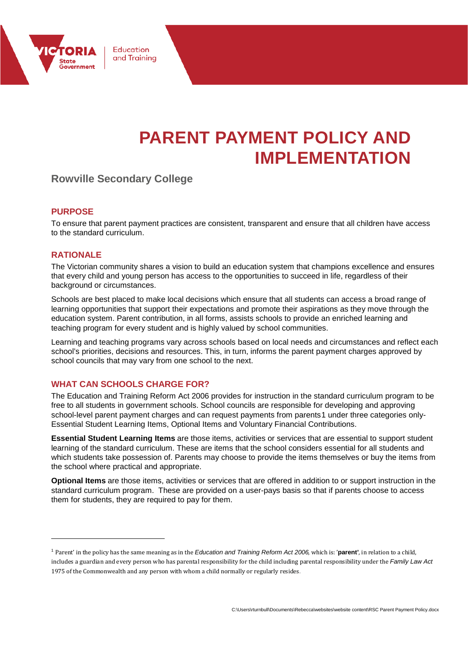

# **PARENT PAYMENT POLICY AND IMPLEMENTATION**

# **Rowville Secondary College**

# **PURPOSE**

To ensure that parent payment practices are consistent, transparent and ensure that all children have access to the standard curriculum.

# **RATIONALE**

j

The Victorian community shares a vision to build an education system that champions excellence and ensures that every child and young person has access to the opportunities to succeed in life, regardless of their background or circumstances.

Schools are best placed to make local decisions which ensure that all students can access a broad range of learning opportunities that support their expectations and promote their aspirations as they move through the education system. Parent contribution, in all forms, assists schools to provide an enriched learning and teaching program for every student and is highly valued by school communities.

Learning and teaching programs vary across schools based on local needs and circumstances and reflect each school's priorities, decisions and resources. This, in turn, informs the parent payment charges approved by school councils that may vary from one school to the next.

# **WHAT CAN SCHOOLS CHARGE FOR?**

The Education and Training Reform Act 2006 provides for instruction in the standard curriculum program to be free to all students in government schools. School councils are responsible for developing and approving school-level parent payment charges and can request payments from parents[1](#page-0-0) under three categories only-Essential Student Learning Items, Optional Items and Voluntary Financial Contributions.

**Essential Student Learning Items** are those items, activities or services that are essential to support student learning of the standard curriculum. These are items that the school considers essential for all students and which students take possession of. Parents may choose to provide the items themselves or buy the items from the school where practical and appropriate.

**Optional Items** are those items, activities or services that are offered in addition to or support instruction in the standard curriculum program. These are provided on a user-pays basis so that if parents choose to access them for students, they are required to pay for them.

<span id="page-0-0"></span><sup>1</sup> Parent' in the policy has the same meaning as in the *Education and Training Reform Act 2006*, which is: '**parent'**, in relation to a child, includes a guardian and every person who has parental responsibility for the child including parental responsibility under the *Family Law Act*  1975 of the Commonwealth and any person with whom a child normally or regularly resides.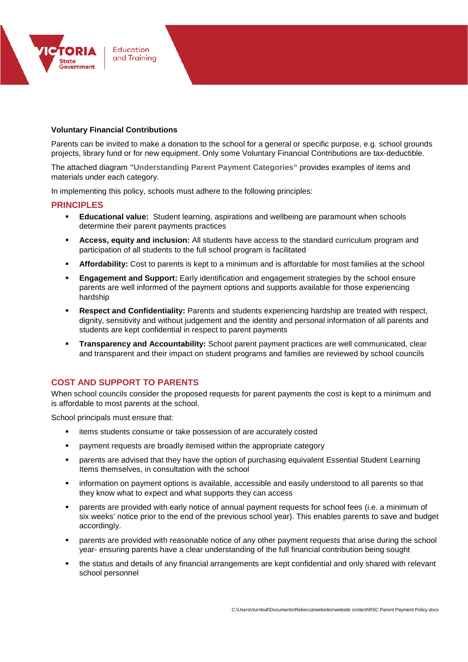

# **Voluntary Financial Contributions**

Parents can be invited to make a donation to the school for a general or specific purpose, e.g. school grounds projects, library fund or for new equipment. Only some Voluntary Financial Contributions are tax-deductible.

The attached diagram **"Understanding Parent Payment Categories"** provides examples of items and materials under each category.

In implementing this policy, schools must adhere to the following principles:

#### **PRINCIPLES**

- **Educational value:** Student learning, aspirations and wellbeing are paramount when schools determine their parent payments practices
- **Access, equity and inclusion:** All students have access to the standard curriculum program and participation of all students to the full school program is facilitated
- **Affordability:** Cost to parents is kept to a minimum and is affordable for most families at the school
- **Engagement and Support:** Early identification and engagement strategies by the school ensure parents are well informed of the payment options and supports available for those experiencing hardship
- **Respect and Confidentiality:** Parents and students experiencing hardship are treated with respect, dignity, sensitivity and without judgement and the identity and personal information of all parents and students are kept confidential in respect to parent payments
- **Transparency and Accountability:** School parent payment practices are well communicated, clear and transparent and their impact on student programs and families are reviewed by school councils

# **COST AND SUPPORT TO PARENTS**

When school councils consider the proposed requests for parent payments the cost is kept to a minimum and is affordable to most parents at the school.

School principals must ensure that:

- **EXECT** items students consume or take possession of are accurately costed
- payment requests are broadly itemised within the appropriate category
- parents are advised that they have the option of purchasing equivalent Essential Student Learning Items themselves, in consultation with the school
- information on payment options is available, accessible and easily understood to all parents so that they know what to expect and what supports they can access
- parents are provided with early notice of annual payment requests for school fees (i.e. a minimum of six weeks' notice prior to the end of the previous school year). This enables parents to save and budget accordingly.
- parents are provided with reasonable notice of any other payment requests that arise during the school year- ensuring parents have a clear understanding of the full financial contribution being sought
- the status and details of any financial arrangements are kept confidential and only shared with relevant school personnel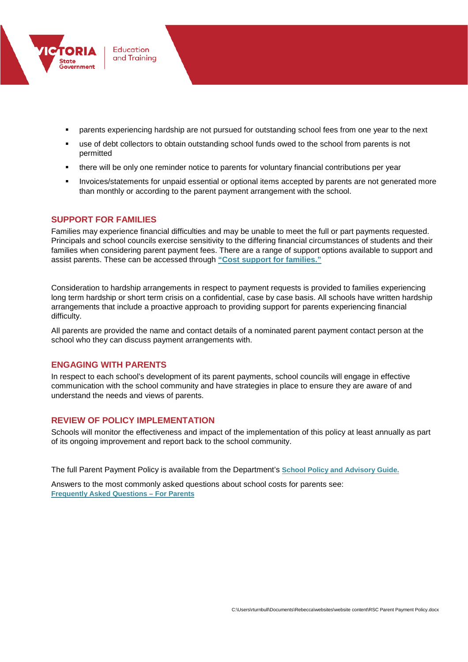

- parents experiencing hardship are not pursued for outstanding school fees from one year to the next
- use of debt collectors to obtain outstanding school funds owed to the school from parents is not permitted
- there will be only one reminder notice to parents for voluntary financial contributions per year
- **Invoices/statements for unpaid essential or optional items accepted by parents are not generated more** than monthly or according to the parent payment arrangement with the school.

# **SUPPORT FOR FAMILIES**

Families may experience financial difficulties and may be unable to meet the full or part payments requested. Principals and school councils exercise sensitivity to the differing financial circumstances of students and their families when considering parent payment fees. There are a range of support options available to support and assist parents. These can be accessed through **["Cost support for families."](http://www.education.vic.gov.au/Documents/school/principals/spag/management/PP_Costsupportforfamilies.docx)**

Consideration to hardship arrangements in respect to payment requests is provided to families experiencing long term hardship or short term crisis on a confidential, case by case basis. All schools have written hardship arrangements that include a proactive approach to providing support for parents experiencing financial difficulty.

All parents are provided the name and contact details of a nominated parent payment contact person at the school who they can discuss payment arrangements with.

# **ENGAGING WITH PARENTS**

In respect to each school's development of its parent payments, school councils will engage in effective communication with the school community and have strategies in place to ensure they are aware of and understand the needs and views of parents.

# **REVIEW OF POLICY IMPLEMENTATION**

Schools will monitor the effectiveness and impact of the implementation of this policy at least annually as part of its ongoing improvement and report back to the school community.

The full Parent Payment Policy is available from the Department's **[School Policy and Advisory Guide.](http://www.education.vic.gov.au/school/principals/spag/management/pages/parentpayments.aspx)**

Answers to the most commonly asked questions about school costs for parents see: **[Frequently Asked Questions –](http://www.education.vic.gov.au/Documents/school/principals/spag/management/PP_FAQforparents.docx) For Parents**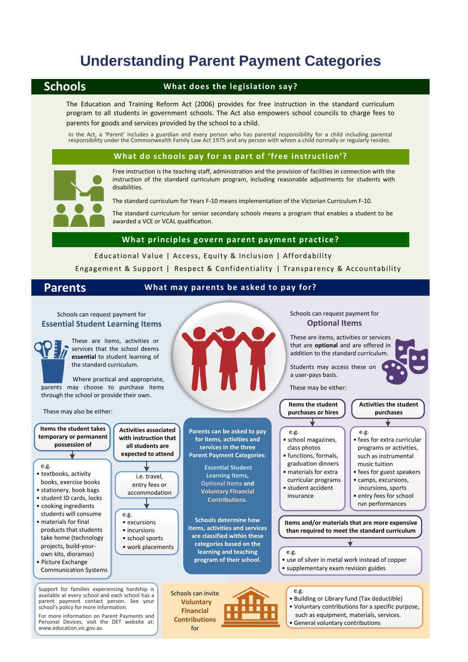# **Understanding Parent Payment Categories**

# **Schools**

# **What does the legislation say?**

The Education and Training Reform Act (2006) provides for free instruction in the standard curriculum program to all students in government schools. The Act also empowers school councils to charge fees to parents for goods and services provided by the school to a child.

In the Act, a 'Parent' includes a guardian and every person who has parental responsibility for a child including parental<br>responsibility under the Commonwealth Family Law Act 1975 and any person with whom a child normally

# **What do schools pay for as part of 'free instruction'?**



Free instruction is the teaching staff, administration and the provision of facilities in connection with the instruction of the standard curriculum program, including reasonable adjustments for students with disabilities.

The standard curriculum for Years F-10 means implementation of the Victorian Curriculum F-10.

The standard curriculum for senior secondary schools means a program that enables a student to be awarded a VCE or VCAL qualification.

> Schools can request payment for **Optional Items**

These are items, activities or services that are **optional** and are offered in

# **What principles govern parent payment practice?**

Educational Value | Access, Equity & Inclusion | Affordability

Engagement & Support | Respect & Confidentiality | Transparency & Accountability

# **Parents What may parents be asked to pay for?**

# Schools can request payment for **Essential Student Learning Items**



These are items, activities or services that the school deems **essential** to student learning of the standard curriculum.



for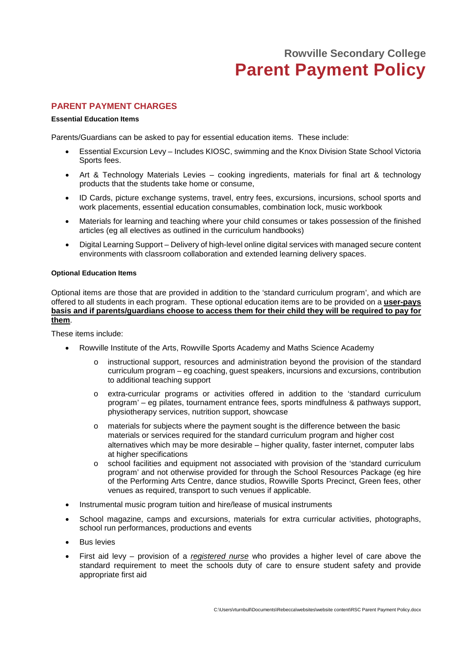# **Rowville Secondary College Parent Payment Policy**

# **PARENT PAYMENT CHARGES**

#### **Essential Education Items**

Parents/Guardians can be asked to pay for essential education items.These include:

- Essential Excursion Levy Includes KIOSC, swimming and the Knox Division State School Victoria Sports fees.
- Art & Technology Materials Levies cooking ingredients, materials for final art & technology products that the students take home or consume,
- ID Cards, picture exchange systems, travel, entry fees, excursions, incursions, school sports and work placements, essential education consumables, combination lock, music workbook
- Materials for learning and teaching where your child consumes or takes possession of the finished articles (eg all electives as outlined in the curriculum handbooks)
- Digital Learning Support Delivery of high-level online digital services with managed secure content environments with classroom collaboration and extended learning delivery spaces.

#### **Optional Education Items**

Optional items are those that are provided in addition to the 'standard curriculum program', and which are offered to all students in each program. These optional education items are to be provided on a **user-pays basis and if parents/guardians choose to access them for their child they will be required to pay for them**.

These items include:

- Rowville Institute of the Arts, Rowville Sports Academy and Maths Science Academy
	- o instructional support, resources and administration beyond the provision of the standard curriculum program – eg coaching, guest speakers, incursions and excursions, contribution to additional teaching support
	- o extra-curricular programs or activities offered in addition to the 'standard curriculum program' – eg pilates, tournament entrance fees, sports mindfulness & pathways support, physiotherapy services, nutrition support, showcase
	- o materials for subjects where the payment sought is the difference between the basic materials or services required for the standard curriculum program and higher cost alternatives which may be more desirable – higher quality, faster internet, computer labs at higher specifications
	- o school facilities and equipment not associated with provision of the 'standard curriculum program' and not otherwise provided for through the School Resources Package (eg hire of the Performing Arts Centre, dance studios, Rowville Sports Precinct, Green fees, other venues as required, transport to such venues if applicable.
- Instrumental music program tuition and hire/lease of musical instruments
- School magazine, camps and excursions, materials for extra curricular activities, photographs, school run performances, productions and events
- **Bus levies**
- First aid levy provision of a *registered nurse* who provides a higher level of care above the standard requirement to meet the schools duty of care to ensure student safety and provide appropriate first aid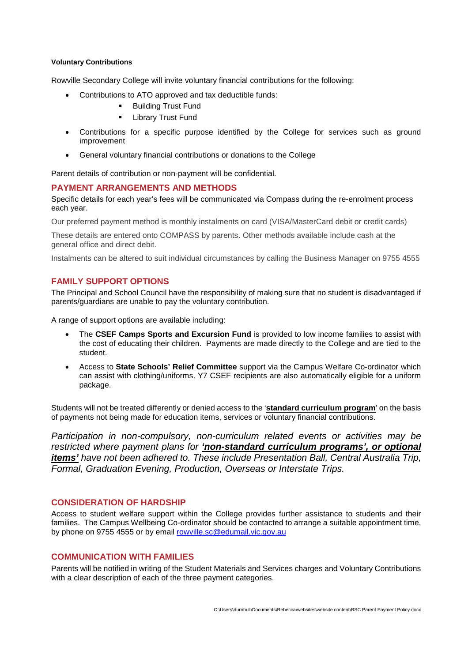#### **Voluntary Contributions**

Rowville Secondary College will invite voluntary financial contributions for the following:

- Contributions to ATO approved and tax deductible funds:
	- Building Trust Fund
		- **-** Library Trust Fund
- Contributions for a specific purpose identified by the College for services such as ground improvement
- General voluntary financial contributions or donations to the College

Parent details of contribution or non-payment will be confidential.

#### **PAYMENT ARRANGEMENTS AND METHODS**

Specific details for each year's fees will be communicated via Compass during the re-enrolment process each year.

Our preferred payment method is monthly instalments on card (VISA/MasterCard debit or credit cards)

These details are entered onto COMPASS by parents. Other methods available include cash at the general office and direct debit.

Instalments can be altered to suit individual circumstances by calling the Business Manager on 9755 4555

### **FAMILY SUPPORT OPTIONS**

The Principal and School Council have the responsibility of making sure that no student is disadvantaged if parents/guardians are unable to pay the voluntary contribution.

A range of support options are available including:

- The **CSEF Camps Sports and Excursion Fund** is provided to low income families to assist with the cost of educating their children. Payments are made directly to the College and are tied to the student.
- Access to **State Schools' Relief Committee** support via the Campus Welfare Co-ordinator which can assist with clothing/uniforms. Y7 CSEF recipients are also automatically eligible for a uniform package.

Students will not be treated differently or denied access to the '**standard curriculum program**' on the basis of payments not being made for education items, services or voluntary financial contributions.

*Participation in non-compulsory, non-curriculum related events or activities may be restricted where payment plans for 'non-standard curriculum programs', or optional items' have not been adhered to. These include Presentation Ball, Central Australia Trip, Formal, Graduation Evening, Production, Overseas or Interstate Trips.*

# **CONSIDERATION OF HARDSHIP**

Access to student welfare support within the College provides further assistance to students and their families. The Campus Wellbeing Co-ordinator should be contacted to arrange a suitable appointment time, by phone on 9755 4555 or by email [rowville.sc@edumail.vic.gov.au](mailto:rowville.sc@edumail.vic.gov.au)

# **COMMUNICATION WITH FAMILIES**

Parents will be notified in writing of the Student Materials and Services charges and Voluntary Contributions with a clear description of each of the three payment categories.